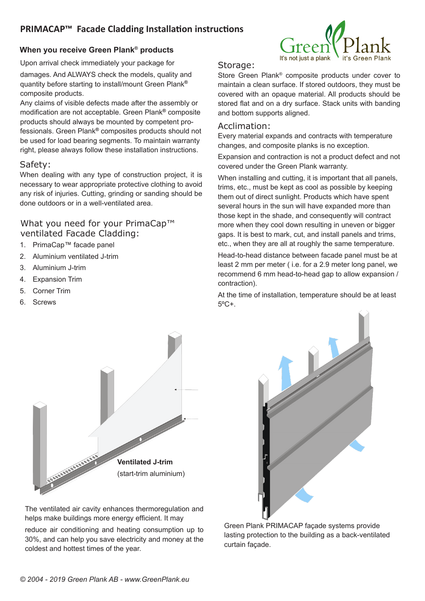# **PRIMACAP™ Facade Cladding Installation instructions**

### **When you receive Green Plank® products**

Upon arrival check immediately your package for damages. And ALWAYS check the models, quality and quantity before starting to install/mount Green Plank**®** composite products.

Any claims of visible defects made after the assembly or modification are not acceptable. Green Plank**®** composite products should always be mounted by competent professionals. Green Plank**®** composites products should not be used for load bearing segments. To maintain warranty right, please always follow these installation instructions.

#### Safety:

When dealing with any type of construction project, it is necessary to wear appropriate protective clothing to avoid any risk of injuries. Cutting, grinding or sanding should be done outdoors or in a well-ventilated area.

## What you need for your PrimaCap™ ventilated Facade Cladding:

- 1. PrimaCap™ facade panel
- 2. Aluminium ventilated J-trim
- 3. Aluminium J-trim
- 4. Expansion Trim
- 5. Corner Trim
- 6. Screws



## Storage:

Store Green Plank® composite products under cover to maintain a clean surface. If stored outdoors, they must be covered with an opaque material. All products should be stored flat and on a dry surface. Stack units with banding and bottom supports aligned.

#### Acclimation:

Every material expands and contracts with temperature changes, and composite planks is no exception.

Expansion and contraction is not a product defect and not covered under the Green Plank warranty.

When installing and cutting, it is important that all panels, trims, etc., must be kept as cool as possible by keeping them out of direct sunlight. Products which have spent several hours in the sun will have expanded more than those kept in the shade, and consequently will contract more when they cool down resulting in uneven or bigger gaps. It is best to mark, cut, and install panels and trims, etc., when they are all at roughly the same temperature.

Head-to-head distance between facade panel must be at least 2 mm per meter ( i.e. for a 2.9 meter long panel, we recommend 6 mm head-to-head gap to allow expansion / contraction).

At the time of installation, temperature should be at least  $5^{\circ}$ C+.



The ventilated air cavity enhances thermoregulation and helps make buildings more energy efficient. It may

reduce air conditioning and heating consumption up to 30%, and can help you save electricity and money at the coldest and hottest times of the year.



Green Plank PRIMACAP façade systems provide lasting protection to the building as a back-ventilated curtain façade.